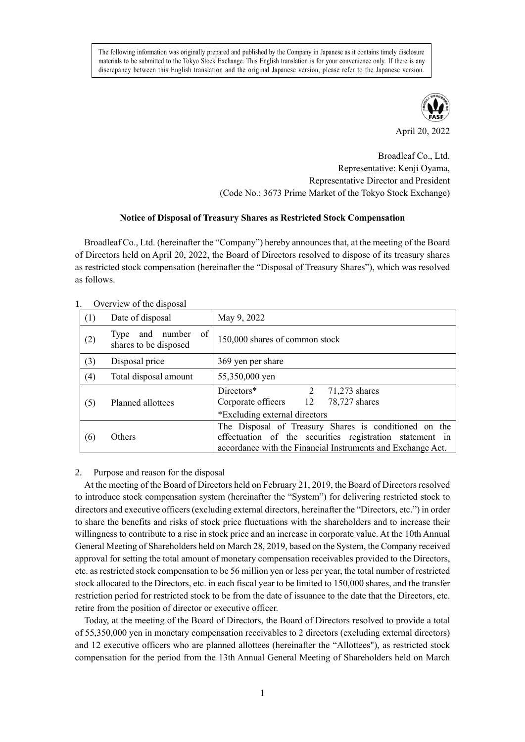The following information was originally prepared and published by the Company in Japanese as it contains timely disclosure materials to be submitted to the Tokyo Stock Exchange. This English translation is for your convenience only. If there is any discrepancy between this English translation and the original Japanese version, please refer to the Japanese version.



April 20, 2022

Broadleaf Co., Ltd. Representative: Kenji Oyama, Representative Director and President (Code No.: 3673 Prime Market of the Tokyo Stock Exchange)

## **Notice of Disposal of Treasury Shares as Restricted Stock Compensation**

Broadleaf Co., Ltd. (hereinafter the "Company") hereby announces that, at the meeting of the Board of Directors held on April 20, 2022, the Board of Directors resolved to dispose of its treasury shares as restricted stock compensation (hereinafter the "Disposal of Treasury Shares"), which was resolved as follows.

| OVERVIEW OF the disposal |                                                   |                                                                                                                                                                                  |
|--------------------------|---------------------------------------------------|----------------------------------------------------------------------------------------------------------------------------------------------------------------------------------|
| (1)                      | Date of disposal                                  | May 9, 2022                                                                                                                                                                      |
| (2)                      | of<br>and number<br>Type<br>shares to be disposed | 150,000 shares of common stock                                                                                                                                                   |
| (3)                      | Disposal price                                    | 369 yen per share                                                                                                                                                                |
| (4)                      | Total disposal amount                             | 55,350,000 yen                                                                                                                                                                   |
| (5)                      | Planned allottees                                 | Directors*<br>2<br>$71,273$ shares<br>Corporate officers 12<br>78,727 shares<br>*Excluding external directors                                                                    |
| (6)                      | Others                                            | The Disposal of Treasury Shares is conditioned on the<br>effectuation of the securities registration statement in<br>accordance with the Financial Instruments and Exchange Act. |

# Overview of the disposal

### 2. Purpose and reason for the disposal

At the meeting of the Board of Directors held on February 21, 2019, the Board of Directors resolved to introduce stock compensation system (hereinafter the "System") for delivering restricted stock to directors and executive officers (excluding external directors, hereinafter the "Directors, etc.") in order to share the benefits and risks of stock price fluctuations with the shareholders and to increase their willingness to contribute to a rise in stock price and an increase in corporate value. At the 10th Annual General Meeting of Shareholders held on March 28, 2019, based on the System, the Company received approval for setting the total amount of monetary compensation receivables provided to the Directors, etc. as restricted stock compensation to be 56 million yen or less per year, the total number of restricted stock allocated to the Directors, etc. in each fiscal year to be limited to 150,000 shares, and the transfer restriction period for restricted stock to be from the date of issuance to the date that the Directors, etc. retire from the position of director or executive officer.

Today, at the meeting of the Board of Directors, the Board of Directors resolved to provide a total of 55,350,000 yen in monetary compensation receivables to 2 directors (excluding external directors) and 12 executive officers who are planned allottees (hereinafter the "Allottees"), as restricted stock compensation for the period from the 13th Annual General Meeting of Shareholders held on March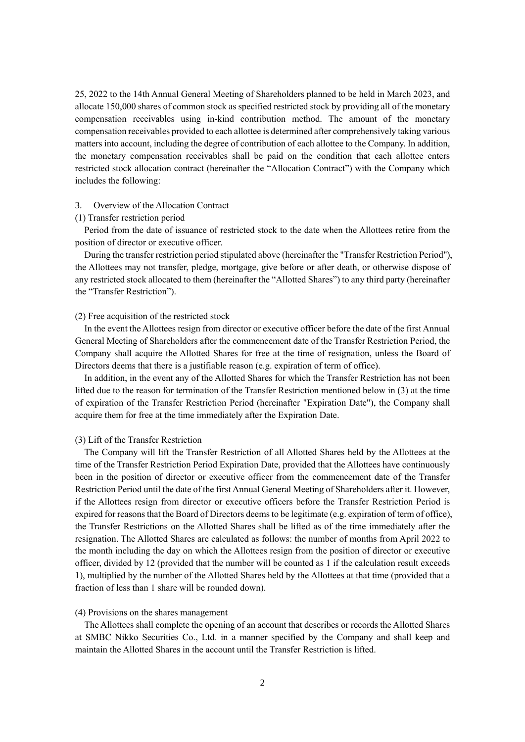25, 2022 to the 14th Annual General Meeting of Shareholders planned to be held in March 2023, and allocate 150,000 shares of common stock as specified restricted stock by providing all of the monetary compensation receivables using in-kind contribution method. The amount of the monetary compensation receivables provided to each allottee is determined after comprehensively taking various matters into account, including the degree of contribution of each allottee to the Company. In addition, the monetary compensation receivables shall be paid on the condition that each allottee enters restricted stock allocation contract (hereinafter the "Allocation Contract") with the Company which includes the following:

#### 3. Overview of the Allocation Contract

### (1) Transfer restriction period

Period from the date of issuance of restricted stock to the date when the Allottees retire from the position of director or executive officer.

During the transfer restriction period stipulated above (hereinafter the "Transfer Restriction Period"), the Allottees may not transfer, pledge, mortgage, give before or after death, or otherwise dispose of any restricted stock allocated to them (hereinafter the "Allotted Shares") to any third party (hereinafter the "Transfer Restriction").

### (2) Free acquisition of the restricted stock

In the event the Allottees resign from director or executive officer before the date of the first Annual General Meeting of Shareholders after the commencement date of the Transfer Restriction Period, the Company shall acquire the Allotted Shares for free at the time of resignation, unless the Board of Directors deems that there is a justifiable reason (e.g. expiration of term of office).

In addition, in the event any of the Allotted Shares for which the Transfer Restriction has not been lifted due to the reason for termination of the Transfer Restriction mentioned below in (3) at the time of expiration of the Transfer Restriction Period (hereinafter "Expiration Date"), the Company shall acquire them for free at the time immediately after the Expiration Date.

#### (3) Lift of the Transfer Restriction

The Company will lift the Transfer Restriction of all Allotted Shares held by the Allottees at the time of the Transfer Restriction Period Expiration Date, provided that the Allottees have continuously been in the position of director or executive officer from the commencement date of the Transfer Restriction Period until the date of the first Annual General Meeting of Shareholders after it. However, if the Allottees resign from director or executive officers before the Transfer Restriction Period is expired for reasons that the Board of Directors deems to be legitimate (e.g. expiration of term of office), the Transfer Restrictions on the Allotted Shares shall be lifted as of the time immediately after the resignation. The Allotted Shares are calculated as follows: the number of months from April 2022 to the month including the day on which the Allottees resign from the position of director or executive officer, divided by 12 (provided that the number will be counted as 1 if the calculation result exceeds 1), multiplied by the number of the Allotted Shares held by the Allottees at that time (provided that a fraction of less than 1 share will be rounded down).

#### (4) Provisions on the shares management

The Allottees shall complete the opening of an account that describes or records the Allotted Shares at SMBC Nikko Securities Co., Ltd. in a manner specified by the Company and shall keep and maintain the Allotted Shares in the account until the Transfer Restriction is lifted.